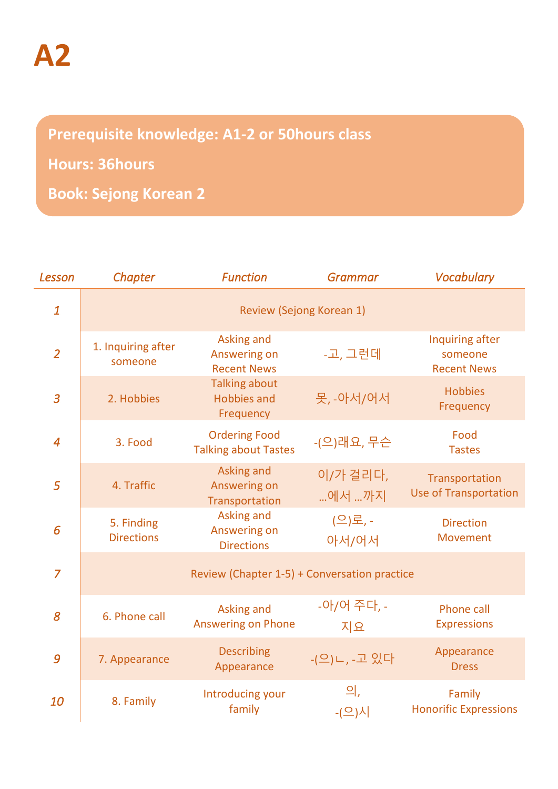## **Prerequisite knowledge: A1-2 or 50hours class**

## **Hours: 36hours**

**Book: Sejong Korean 2**

| Lesson           | Chapter                                      | <b>Function</b>                                         | <b>Grammar</b>    | <b>Vocabulary</b>                                |  |  |
|------------------|----------------------------------------------|---------------------------------------------------------|-------------------|--------------------------------------------------|--|--|
| $\boldsymbol{1}$ | Review (Sejong Korean 1)                     |                                                         |                   |                                                  |  |  |
| $\overline{2}$   | 1. Inquiring after<br>someone                | Asking and<br>Answering on<br><b>Recent News</b>        | -고, 그런데           | Inquiring after<br>someone<br><b>Recent News</b> |  |  |
| $\overline{3}$   | 2. Hobbies                                   | <b>Talking about</b><br><b>Hobbies and</b><br>Frequency | 못, -아서/어서         | <b>Hobbies</b><br>Frequency                      |  |  |
| $\overline{4}$   | 3. Food                                      | <b>Ordering Food</b><br><b>Talking about Tastes</b>     | -(으)래요, 무슨        | Food<br><b>Tastes</b>                            |  |  |
| 5                | 4. Traffic                                   | Asking and<br>Answering on<br>Transportation            | 이/가 걸리다,<br>에서 까지 | Transportation<br><b>Use of Transportation</b>   |  |  |
| 6                | 5. Finding<br><b>Directions</b>              | Asking and<br>Answering on<br><b>Directions</b>         | (으)로, -<br>아서/어서  | <b>Direction</b><br><b>Movement</b>              |  |  |
| $\overline{7}$   | Review (Chapter 1-5) + Conversation practice |                                                         |                   |                                                  |  |  |
| 8                | 6. Phone call                                | Asking and<br><b>Answering on Phone</b>                 | -아/어 주다, -<br>지요  | Phone call<br><b>Expressions</b>                 |  |  |
| 9                | 7. Appearance                                | <b>Describing</b><br>Appearance                         | -(으)ㄴ, -고 있다      | Appearance<br><b>Dress</b>                       |  |  |
| 10               | 8. Family                                    | Introducing your<br>family                              | 의,<br>- $($ 으)시   | Family<br><b>Honorific Expressions</b>           |  |  |